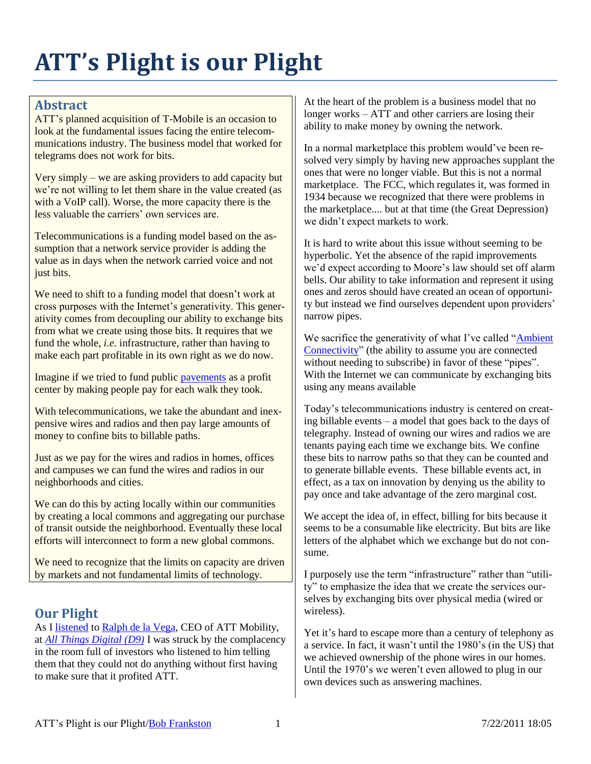# **ATT's Plight is our Plight**

#### **Abstract**

ATT's planned acquisition of T-Mobile is an occasion to look at the fundamental issues facing the entire telecommunications industry. The business model that worked for telegrams does not work for bits.

Very simply – we are asking providers to add capacity but we're not willing to let them share in the value created (as with a VoIP call). Worse, the more capacity there is the less valuable the carriers' own services are.

Telecommunications is a funding model based on the assumption that a network service provider is adding the value as in days when the network carried voice and not just bits.

We need to shift to a funding model that doesn't work at cross purposes with the Internet's generativity. This generativity comes from decoupling our ability to exchange bits from what we create using those bits. It requires that we fund the whole, *i.e.* infrastructure, rather than having to make each part profitable in its own right as we do now.

Imagine if we tried to fund public [pavements](http://rmf.vc/Sidewalks?x=app) as a profit center by making people pay for each walk they took.

With telecommunications, we take the abundant and inexpensive wires and radios and then pay large amounts of money to confine bits to billable paths.

Just as we pay for the wires and radios in homes, offices and campuses we can fund the wires and radios in our neighborhoods and cities.

We can do this by acting locally within our communities by creating a local commons and aggregating our purchase of transit outside the neighborhood. Eventually these local efforts will interconnect to form a new global commons.

We need to recognize that the limits on capacity are driven by markets and not fundamental limits of technology.

## **Our Plight**

As I [listened](http://allthingsd.com/20110602/atts-ralph-de-la-vega-is-the-final-guest-on-the-hot-seat-live-at-d9/) to Ralph [de la Vega,](http://en.wikipedia.org/wiki/Ralph_de_la_Vega) CEO of ATT Mobility, at *[All Things Digital \(D9\)](http://allthingsd.com/category/d/d9/)* I was struck by the complacency in the room full of investors who listened to him telling them that they could not do anything without first having to make sure that it profited ATT.

At the heart of the problem is a business model that no longer works – ATT and other carriers are losing their ability to make money by owning the network.

In a normal marketplace this problem would've been resolved very simply by having new approaches supplant the ones that were no longer viable. But this is not a normal marketplace. The FCC, which regulates it, was formed in 1934 because we recognized that there were problems in the marketplace.... but at that time (the Great Depression) we didn't expect markets to work.

It is hard to write about this issue without seeming to be hyperbolic. Yet the absence of the rapid improvements we'd expect according to Moore's law should set off alarm bells. Our ability to take information and represent it using ones and zeros should have created an ocean of opportunity but instead we find ourselves dependent upon providers' narrow pipes.

We sacrifice the generativity of what I've called "Ambient" [Connectivity"](http://rmf.vc/AmbientConnectivity&x=app) (the ability to assume you are connected without needing to subscribe) in favor of these "pipes". With the Internet we can communicate by exchanging bits using any means available

Today's telecommunications industry is centered on creating billable events – a model that goes back to the days of telegraphy. Instead of owning our wires and radios we are tenants paying each time we exchange bits. We confine these bits to narrow paths so that they can be counted and to generate billable events. These billable events act, in effect, as a tax on innovation by denying us the ability to pay once and take advantage of the zero marginal cost.

We accept the idea of, in effect, billing for bits because it seems to be a consumable like electricity. But bits are like letters of the alphabet which we exchange but do not consume.

I purposely use the term "infrastructure" rather than "utility" to emphasize the idea that we create the services ourselves by exchanging bits over physical media (wired or wireless).

Yet it's hard to escape more than a century of telephony as a service. In fact, it wasn't until the 1980's (in the US) that we achieved ownership of the phone wires in our homes. Until the 1970's we weren't even allowed to plug in our own devices such as answering machines.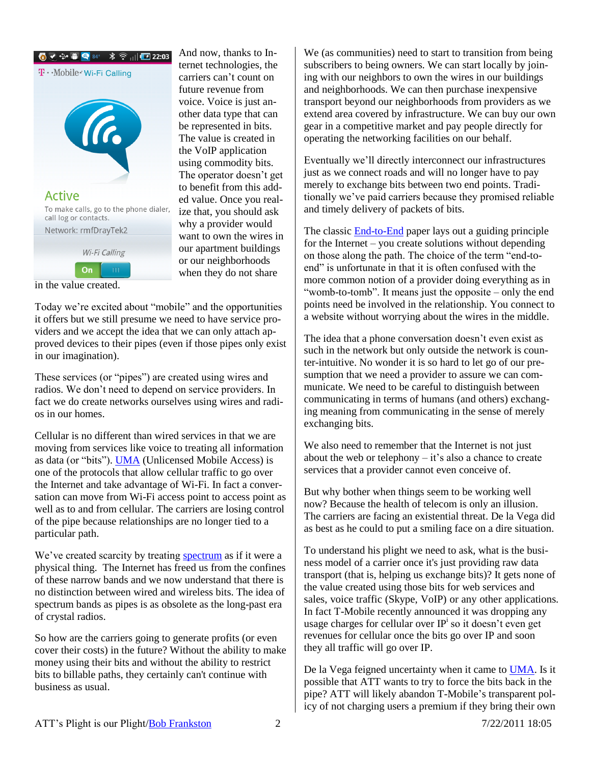

And now, thanks to Internet technologies, the carriers can't count on future revenue from voice. Voice is just another data type that can be represented in bits. The value is created in the VoIP application using commodity bits. The operator doesn't get to benefit from this added value. Once you realize that, you should ask why a provider would want to own the wires in our apartment buildings or our neighborhoods when they do not share

in the value created.

Today we're excited about "mobile" and the opportunities it offers but we still presume we need to have service providers and we accept the idea that we can only attach approved devices to their pipes (even if those pipes only exist in our imagination).

These services (or "pipes") are created using wires and radios. We don't need to depend on service providers. In fact we do create networks ourselves using wires and radios in our homes.

<span id="page-1-0"></span>Cellular is no different than wired services in that we are moving from services like voice to treating all information as data (or "bits"). [UMA](http://www.umatechnology.org/overview/) (Unlicensed Mobile Access) is one of the protocols that allow cellular traffic to go over the Internet and take advantage of Wi-Fi. In fact a conversation can move from Wi-Fi access point to access point as well as to and from cellular. The carriers are losing control of the pipe because relationships are no longer tied to a particular path.

We've created scarcity by treating [spectrum](http://rmf.vc/SpectrumFarmland?x=app) as if it were a physical thing. The Internet has freed us from the confines of these narrow bands and we now understand that there is no distinction between wired and wireless bits. The idea of spectrum bands as pipes is as obsolete as the long-past era of crystal radios.

So how are the carriers going to generate profits (or even cover their costs) in the future? Without the ability to make money using their bits and without the ability to restrict bits to billable paths, they certainly can't continue with business as usual.

We (as communities) need to start to transition from being subscribers to being owners. We can start locally by joining with our neighbors to own the wires in our buildings and neighborhoods. We can then purchase inexpensive transport beyond our neighborhoods from providers as we extend area covered by infrastructure. We can buy our own gear in a competitive market and pay people directly for operating the networking facilities on our behalf.

Eventually we'll directly interconnect our infrastructures just as we connect roads and will no longer have to pay merely to exchange bits between two end points. Traditionally we've paid carriers because they promised reliable and timely delivery of packets of bits.

The classic [End-to-End](http://www.reed.com/dpr/locus/Papers/EndtoEnd.html) paper lays out a guiding principle for the Internet – you create solutions without depending on those along the path. The choice of the term "end-toend" is unfortunate in that it is often confused with the more common notion of a provider doing everything as in "womb-to-tomb". It means just the opposite – only the end points need be involved in the relationship. You connect to a website without worrying about the wires in the middle.

The idea that a phone conversation doesn't even exist as such in the network but only outside the network is counter-intuitive. No wonder it is so hard to let go of our presumption that we need a provider to assure we can communicate. We need to be careful to distinguish between communicating in terms of humans (and others) exchanging meaning from communicating in the sense of merely exchanging bits.

We also need to remember that the Internet is not just about the web or telephony – it's also a chance to create services that a provider cannot even conceive of.

But why bother when things seem to be working well now? Because the health of telecom is only an illusion. The carriers are facing an existential threat. De la Vega did as best as he could to put a smiling face on a dire situation.

To understand his plight we need to ask, what is the business model of a carrier once it's just providing raw data transport (that is, helping us exchange bits)? It gets none of the value created using those bits for web services and sales, voice traffic (Skype, VoIP) or any other applications. In fact T-Mobile recently announced it was dropping any usage charges for cellular over IP<sup>i</sup> so it doesn't even get revenues for cellular once the bits go over IP and soon they all traffic will go over IP.

De la Vega feigned uncertainty when it came to [UMA.](#page-1-0) Is it possible that ATT wants to try to force the bits back in the pipe? ATT will likely abandon T-Mobile's transparent policy of not charging users a premium if they bring their own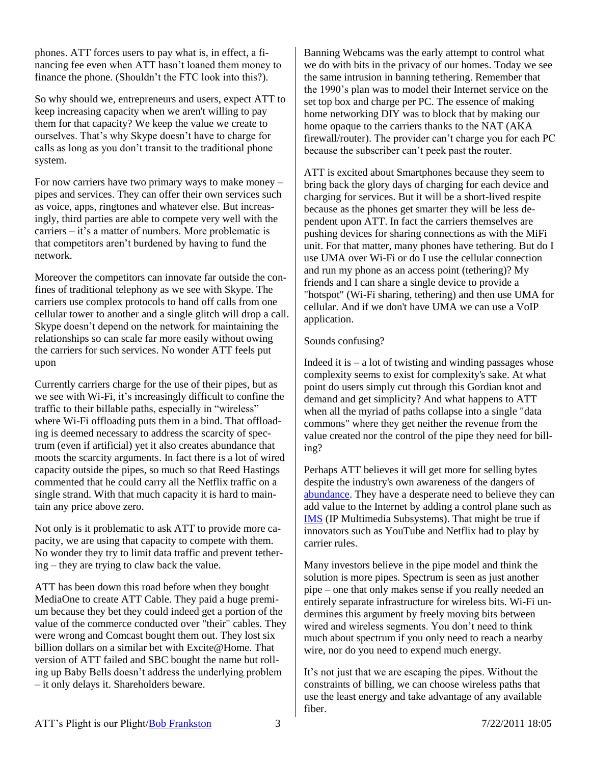phones. ATT forces users to pay what is, in effect, a financing fee even when ATT hasn't loaned them money to finance the phone. (Shouldn't the FTC look into this?).

So why should we, entrepreneurs and users, expect ATT to keep increasing capacity when we aren't willing to pay them for that capacity? We keep the value we create to ourselves. That's why Skype doesn't have to charge for calls as long as you don't transit to the traditional phone system.

For now carriers have two primary ways to make money – pipes and services. They can offer their own services such as voice, apps, ringtones and whatever else. But increasingly, third parties are able to compete very well with the carriers – it's a matter of numbers. More problematic is that competitors aren't burdened by having to fund the network.

Moreover the competitors can innovate far outside the confines of traditional telephony as we see with Skype. The carriers use complex protocols to hand off calls from one cellular tower to another and a single glitch will drop a call. Skype doesn't depend on the network for maintaining the relationships so can scale far more easily without owing the carriers for such services. No wonder ATT feels put upon

Currently carriers charge for the use of their pipes, but as we see with Wi-Fi, it's increasingly difficult to confine the traffic to their billable paths, especially in "wireless" where Wi-Fi offloading puts them in a bind. That offloading is deemed necessary to address the scarcity of spectrum (even if artificial) yet it also creates abundance that moots the scarcity arguments. In fact there is a lot of wired capacity outside the pipes, so much so that Reed Hastings commented that he could carry all the Netflix traffic on a single strand. With that much capacity it is hard to maintain any price above zero.

Not only is it problematic to ask ATT to provide more capacity, we are using that capacity to compete with them. No wonder they try to limit data traffic and prevent tethering – they are trying to claw back the value.

ATT has been down this road before when they bought MediaOne to create ATT Cable. They paid a huge premium because they bet they could indeed get a portion of the value of the commerce conducted over "their" cables. They were wrong and Comcast bought them out. They lost six billion dollars on a similar bet with Excite@Home. That version of ATT failed and SBC bought the name but rolling up Baby Bells doesn't address the underlying problem – it only delays it. Shareholders beware.

Banning Webcams was the early attempt to control what we do with bits in the privacy of our homes. Today we see the same intrusion in banning tethering. Remember that the 1990's plan was to model their Internet service on the set top box and charge per PC. The essence of making home networking DIY was to block that by making our home opaque to the carriers thanks to the NAT (AKA firewall/router). The provider can't charge you for each PC because the subscriber can't peek past the router.

ATT is excited about Smartphones because they seem to bring back the glory days of charging for each device and charging for services. But it will be a short-lived respite because as the phones get smarter they will be less dependent upon ATT. In fact the carriers themselves are pushing devices for sharing connections as with the MiFi unit. For that matter, many phones have tethering. But do I use UMA over Wi-Fi or do I use the cellular connection and run my phone as an access point (tethering)? My friends and I can share a single device to provide a "hotspot" (Wi-Fi sharing, tethering) and then use UMA for cellular. And if we don't have UMA we can use a VoIP application.

#### Sounds confusing?

Indeed it is  $-$  a lot of twisting and winding passages whose complexity seems to exist for complexity's sake. At what point do users simply cut through this Gordian knot and demand and get simplicity? And what happens to ATT when all the myriad of paths collapse into a single "data commons" where they get neither the revenue from the value created nor the control of the pipe they need for billing?

Perhaps ATT believes it will get more for selling bytes despite the industry's own awareness of the dangers of [abundance.](http://rmf.vc/as) They have a desperate need to believe they can add value to the Internet by adding a control plane such as [IMS](http://rmf.vc/VONBillability?x=app) (IP Multimedia Subsystems). That might be true if innovators such as YouTube and Netflix had to play by carrier rules.

Many investors believe in the pipe model and think the solution is more pipes. Spectrum is seen as just another pipe – one that only makes sense if you really needed an entirely separate infrastructure for wireless bits. Wi-Fi undermines this argument by freely moving bits between wired and wireless segments. You don't need to think much about spectrum if you only need to reach a nearby wire, nor do you need to expend much energy.

It's not just that we are escaping the pipes. Without the constraints of billing, we can choose wireless paths that use the least energy and take advantage of any available fiber.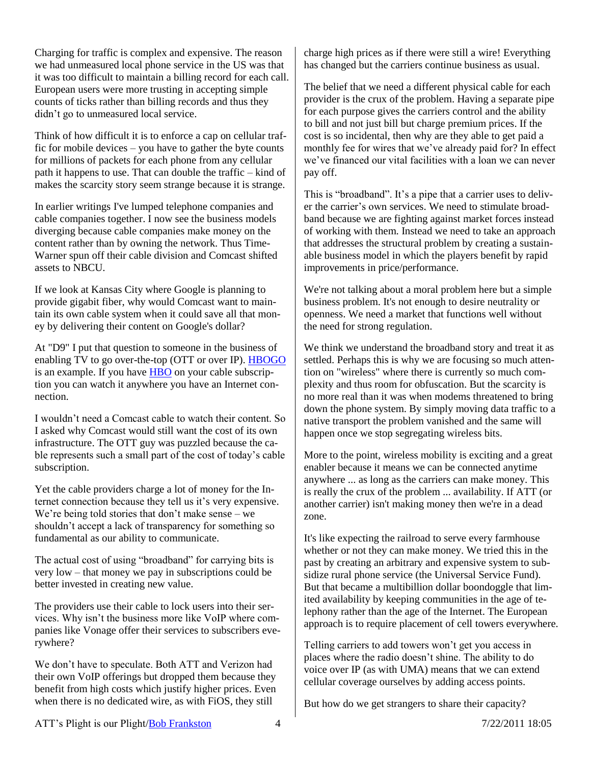Charging for traffic is complex and expensive. The reason we had unmeasured local phone service in the US was that it was too difficult to maintain a billing record for each call. European users were more trusting in accepting simple counts of ticks rather than billing records and thus they didn't go to unmeasured local service.

Think of how difficult it is to enforce a cap on cellular traffic for mobile devices – you have to gather the byte counts for millions of packets for each phone from any cellular path it happens to use. That can double the traffic – kind of makes the scarcity story seem strange because it is strange.

In earlier writings I've lumped telephone companies and cable companies together. I now see the business models diverging because cable companies make money on the content rather than by owning the network. Thus Time-Warner spun off their cable division and Comcast shifted assets to NBCU.

If we look at Kansas City where Google is planning to provide gigabit fiber, why would Comcast want to maintain its own cable system when it could save all that money by delivering their content on Google's dollar?

At "D9" I put that question to someone in the business of enabling TV to go over-the-top (OTT or over IP). [HBOGO](http://hbogo.com/) is an example. If you have [HBO](http://www.hbo.com/) on your cable subscription you can watch it anywhere you have an Internet connection.

I wouldn't need a Comcast cable to watch their content. So I asked why Comcast would still want the cost of its own infrastructure. The OTT guy was puzzled because the cable represents such a small part of the cost of today's cable subscription.

Yet the cable providers charge a lot of money for the Internet connection because they tell us it's very expensive. We're being told stories that don't make sense – we shouldn't accept a lack of transparency for something so fundamental as our ability to communicate.

The actual cost of using "broadband" for carrying bits is very low – that money we pay in subscriptions could be better invested in creating new value.

The providers use their cable to lock users into their services. Why isn't the business more like VoIP where companies like Vonage offer their services to subscribers everywhere?

We don't have to speculate. Both ATT and Verizon had their own VoIP offerings but dropped them because they benefit from high costs which justify higher prices. Even when there is no dedicated wire, as with FiOS, they still

charge high prices as if there were still a wire! Everything has changed but the carriers continue business as usual.

The belief that we need a different physical cable for each provider is the crux of the problem. Having a separate pipe for each purpose gives the carriers control and the ability to bill and not just bill but charge premium prices. If the cost is so incidental, then why are they able to get paid a monthly fee for wires that we've already paid for? In effect we've financed our vital facilities with a loan we can never pay off.

This is "broadband". It's a pipe that a carrier uses to deliver the carrier's own services. We need to stimulate broadband because we are fighting against market forces instead of working with them. Instead we need to take an approach that addresses the structural problem by creating a sustainable business model in which the players benefit by rapid improvements in price/performance.

We're not talking about a moral problem here but a simple business problem. It's not enough to desire neutrality or openness. We need a market that functions well without the need for strong regulation.

We think we understand the broadband story and treat it as settled. Perhaps this is why we are focusing so much attention on "wireless" where there is currently so much complexity and thus room for obfuscation. But the scarcity is no more real than it was when modems threatened to bring down the phone system. By simply moving data traffic to a native transport the problem vanished and the same will happen once we stop segregating wireless bits.

More to the point, wireless mobility is exciting and a great enabler because it means we can be connected anytime anywhere ... as long as the carriers can make money. This is really the crux of the problem ... availability. If ATT (or another carrier) isn't making money then we're in a dead zone.

It's like expecting the railroad to serve every farmhouse whether or not they can make money. We tried this in the past by creating an arbitrary and expensive system to subsidize rural phone service (the Universal Service Fund). But that became a multibillion dollar boondoggle that limited availability by keeping communities in the age of telephony rather than the age of the Internet. The European approach is to require placement of cell towers everywhere.

Telling carriers to add towers won't get you access in places where the radio doesn't shine. The ability to do voice over IP (as with UMA) means that we can extend cellular coverage ourselves by adding access points.

But how do we get strangers to share their capacity?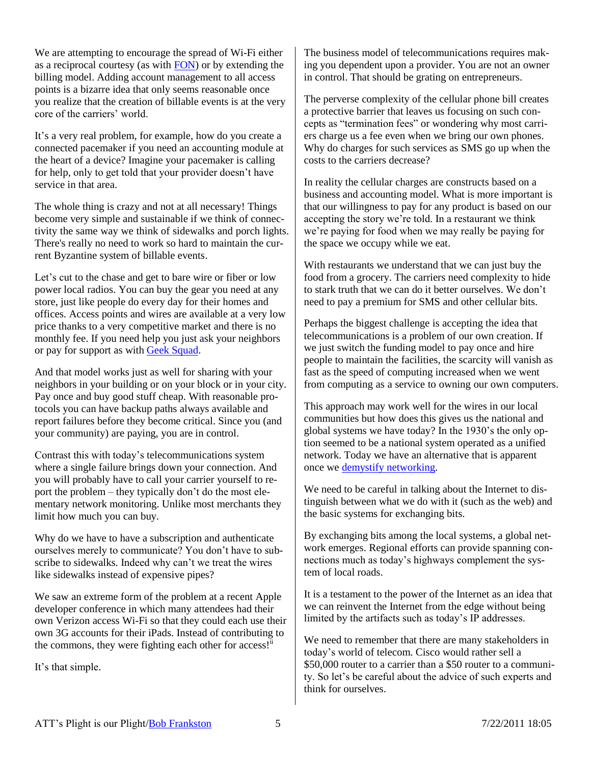We are attempting to encourage the spread of Wi-Fi either as a reciprocal courtesy (as with [FON\)](http://www.fon.com/) or by extending the billing model. Adding account management to all access points is a bizarre idea that only seems reasonable once you realize that the creation of billable events is at the very core of the carriers' world.

It's a very real problem, for example, how do you create a connected pacemaker if you need an accounting module at the heart of a device? Imagine your pacemaker is calling for help, only to get told that your provider doesn't have service in that area.

The whole thing is crazy and not at all necessary! Things become very simple and sustainable if we think of connectivity the same way we think of sidewalks and porch lights. There's really no need to work so hard to maintain the current Byzantine system of billable events.

Let's cut to the chase and get to bare wire or fiber or low power local radios. You can buy the gear you need at any store, just like people do every day for their homes and offices. Access points and wires are available at a very low price thanks to a very competitive market and there is no monthly fee. If you need help you just ask your neighbors or pay for support as with [Geek Squad.](http://www.geeksquad.com/)

And that model works just as well for sharing with your neighbors in your building or on your block or in your city. Pay once and buy good stuff cheap. With reasonable protocols you can have backup paths always available and report failures before they become critical. Since you (and your community) are paying, you are in control.

Contrast this with today's telecommunications system where a single failure brings down your connection. And you will probably have to call your carrier yourself to report the problem – they typically don't do the most elementary network monitoring. Unlike most merchants they limit how much you can buy.

Why do we have to have a subscription and authenticate ourselves merely to communicate? You don't have to subscribe to sidewalks. Indeed why can't we treat the wires like sidewalks instead of expensive pipes?

We saw an extreme form of the problem at a recent Apple developer conference in which many attendees had their own Verizon access Wi-Fi so that they could each use their own 3G accounts for their iPads. Instead of contributing to the commons, they were fighting each other for access! $\mathbf{ii}$ 

It's that simple.

The business model of telecommunications requires making you dependent upon a provider. You are not an owner in control. That should be grating on entrepreneurs.

The perverse complexity of the cellular phone bill creates a protective barrier that leaves us focusing on such concepts as "termination fees" or wondering why most carriers charge us a fee even when we bring our own phones. Why do charges for such services as SMS go up when the costs to the carriers decrease?

In reality the cellular charges are constructs based on a business and accounting model. What is more important is that our willingness to pay for any product is based on our accepting the story we're told. In a restaurant we think we're paying for food when we may really be paying for the space we occupy while we eat.

With restaurants we understand that we can just buy the food from a grocery. The carriers need complexity to hide to stark truth that we can do it better ourselves. We don't need to pay a premium for SMS and other cellular bits.

Perhaps the biggest challenge is accepting the idea that telecommunications is a problem of our own creation. If we just switch the funding model to pay once and hire people to maintain the facilities, the scarcity will vanish as fast as the speed of computing increased when we went from computing as a service to owning our own computers.

This approach may work well for the wires in our local communities but how does this gives us the national and global systems we have today? In the 1930's the only option seemed to be a national system operated as a unified network. Today we have an alternative that is apparent once we [demystify networking.](http://rmf.vc/Demystify?x=app)

We need to be careful in talking about the Internet to distinguish between what we do with it (such as the web) and the basic systems for exchanging bits.

By exchanging bits among the local systems, a global network emerges. Regional efforts can provide spanning connections much as today's highways complement the system of local roads.

It is a testament to the power of the Internet as an idea that we can reinvent the Internet from the edge without being limited by the artifacts such as today's IP addresses.

We need to remember that there are many stakeholders in today's world of telecom. Cisco would rather sell a \$50,000 router to a carrier than a \$50 router to a community. So let's be careful about the advice of such experts and think for ourselves.